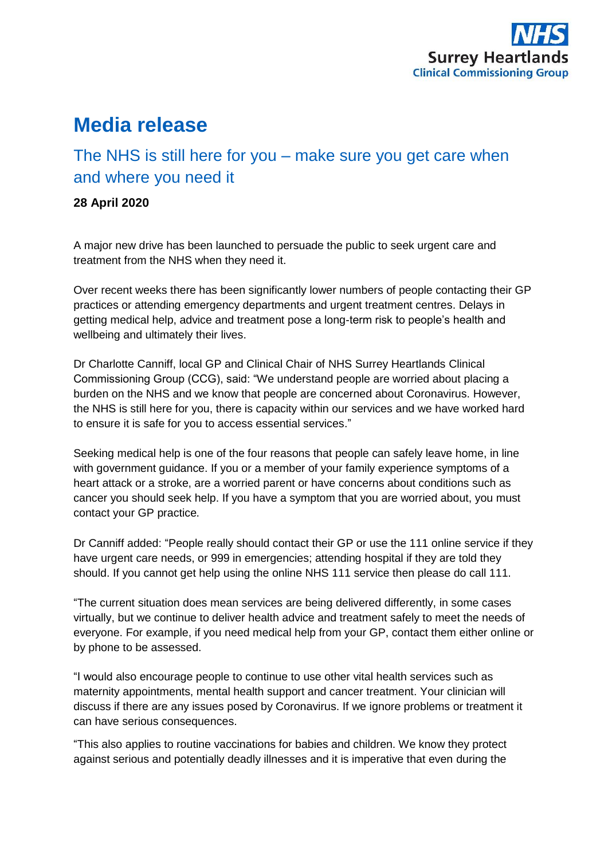

# **Media release**

# The NHS is still here for you – make sure you get care when and where you need it

## **28 April 2020**

A major new drive has been launched to persuade the public to seek urgent care and treatment from the NHS when they need it.

Over recent weeks there has been significantly lower numbers of people contacting their GP practices or attending emergency departments and urgent treatment centres. Delays in getting medical help, advice and treatment pose a long-term risk to people's health and wellbeing and ultimately their lives.

Dr Charlotte Canniff, local GP and Clinical Chair of NHS Surrey Heartlands Clinical Commissioning Group (CCG), said: "We understand people are worried about placing a burden on the NHS and we know that people are concerned about Coronavirus. However, the NHS is still here for you, there is capacity within our services and we have worked hard to ensure it is safe for you to access essential services."

Seeking medical help is one of the four reasons that people can safely leave home, in line with government guidance. If you or a member of your family experience symptoms of a heart attack or a stroke, are a worried parent or have concerns about conditions such as cancer you should seek help. If you have a symptom that you are worried about, you must contact your GP practice.

Dr Canniff added: "People really should contact their GP or use the 111 online service if they have urgent care needs, or 999 in emergencies; attending hospital if they are told they should. If you cannot get help using the online NHS 111 service then please do call 111.

"The current situation does mean services are being delivered differently, in some cases virtually, but we continue to deliver health advice and treatment safely to meet the needs of everyone. For example, if you need medical help from your GP, contact them either online or by phone to be assessed.

"I would also encourage people to continue to use other vital health services such as maternity appointments, mental health support and cancer treatment. Your clinician will discuss if there are any issues posed by Coronavirus. If we ignore problems or treatment it can have serious consequences.

"This also applies to routine vaccinations for babies and children. We know they protect against serious and potentially deadly illnesses and it is imperative that even during the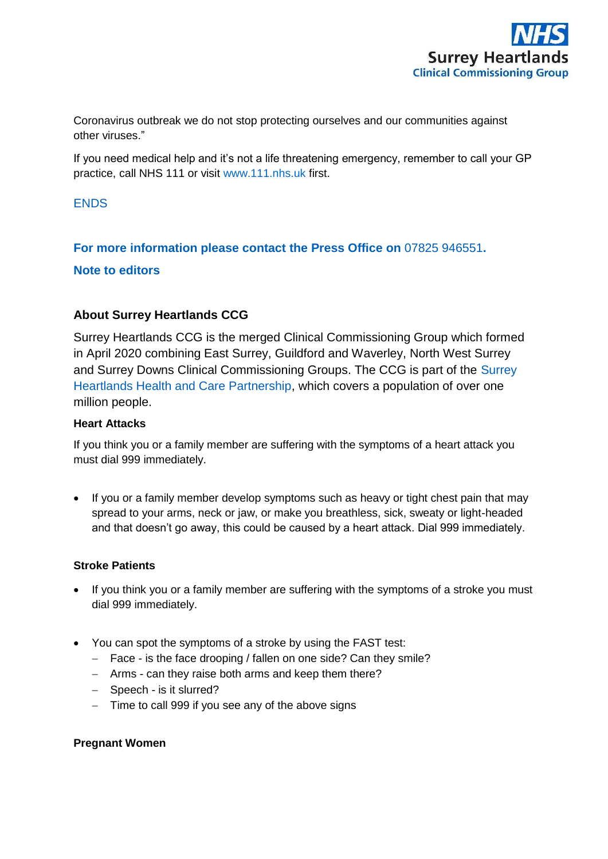

Coronavirus outbreak we do not stop protecting ourselves and our communities against other viruses."

If you need medical help and it's not a life threatening emergency, remember to call your GP practice, call NHS 111 or visit [www.111.nhs.uk](http://www.111.nhs.uk/) first.

### **ENDS**

# **For more information please contact the Press Office on** 07825 946551**.**

# **Note to editors**

# **About Surrey Heartlands CCG**

Surrey Heartlands CCG is the merged Clinical Commissioning Group which formed in April 2020 combining East Surrey, Guildford and Waverley, North West Surrey and Surrey Downs Clinical Commissioning Groups. The CCG is part of the [Surrey](http://surreyheartlands.uk/)  [Heartlands Health and Care Partnership,](http://surreyheartlands.uk/) which covers a population of over one million people.

#### **Heart Attacks**

If you think you or a family member are suffering with the symptoms of a heart attack you must dial 999 immediately.

• If you or a family member develop symptoms such as heavy or tight chest pain that may spread to your arms, neck or jaw, or make you breathless, sick, sweaty or light-headed and that doesn't go away, this could be caused by a heart attack. Dial 999 immediately.

#### **Stroke Patients**

- If you think you or a family member are suffering with the symptoms of a stroke you must dial 999 immediately.
- You can spot the symptoms of a stroke by using the FAST test:
	- Face is the face drooping / fallen on one side? Can they smile?
	- Arms can they raise both arms and keep them there?
	- Speech is it slurred?
	- $-$  Time to call 999 if you see any of the above signs

#### **Pregnant Women**